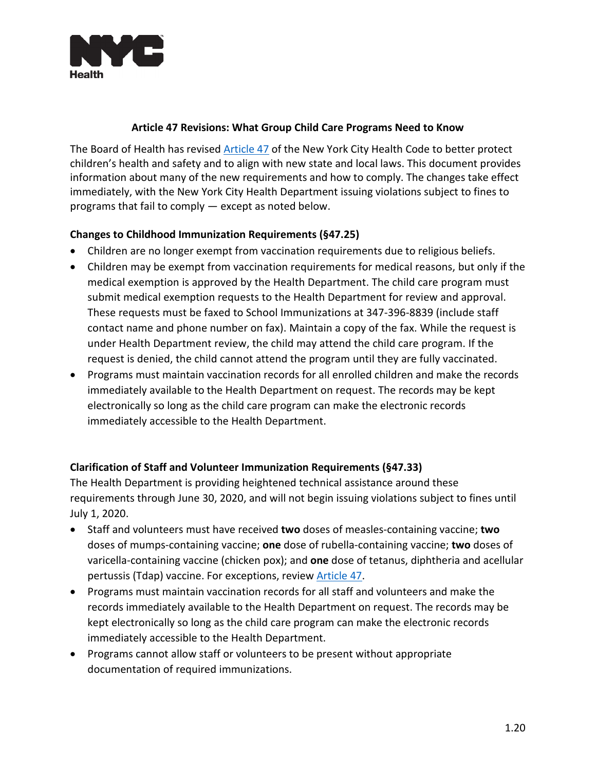

#### **Article 47 Revisions: What Group Child Care Programs Need to Know**

The Board of Health has revised [Article 47](https://www1.nyc.gov/assets/doh/downloads/pdf/about/healthcode/health-code-article47.pdf) of the New York City Health Code to better protect children's health and safety and to align with new state and local laws. This document provides information about many of the new requirements and how to comply. The changes take effect immediately, with the New York City Health Department issuing violations subject to fines to programs that fail to comply — except as noted below.

# **Changes to Childhood Immunization Requirements (§47.25)**

- Children are no longer exempt from vaccination requirements due to religious beliefs.
- Children may be exempt from vaccination requirements for medical reasons, but only if the medical exemption is approved by the Health Department. The child care program must submit medical exemption requests to the Health Department for review and approval. These requests must be faxed to School Immunizations at 347-396-8839 (include staff contact name and phone number on fax). Maintain a copy of the fax. While the request is under Health Department review, the child may attend the child care program. If the request is denied, the child cannot attend the program until they are fully vaccinated.
- Programs must maintain vaccination records for all enrolled children and make the records immediately available to the Health Department on request. The records may be kept electronically so long as the child care program can make the electronic records immediately accessible to the Health Department.

## **Clarification of Staff and Volunteer Immunization Requirements (§47.33)**

The Health Department is providing heightened technical assistance around these requirements through June 30, 2020, and will not begin issuing violations subject to fines until July 1, 2020.

- Staff and volunteers must have received **two** doses of measles-containing vaccine; **two** doses of mumps-containing vaccine; **one** dose of rubella-containing vaccine; **two** doses of varicella-containing vaccine (chicken pox); and **one** dose of tetanus, diphtheria and acellular pertussis (Tdap) vaccine. For exceptions, review [Article 47.](https://www1.nyc.gov/assets/doh/downloads/pdf/about/healthcode/health-code-article47.pdf)
- Programs must maintain vaccination records for all staff and volunteers and make the records immediately available to the Health Department on request. The records may be kept electronically so long as the child care program can make the electronic records immediately accessible to the Health Department.
- Programs cannot allow staff or volunteers to be present without appropriate documentation of required immunizations.